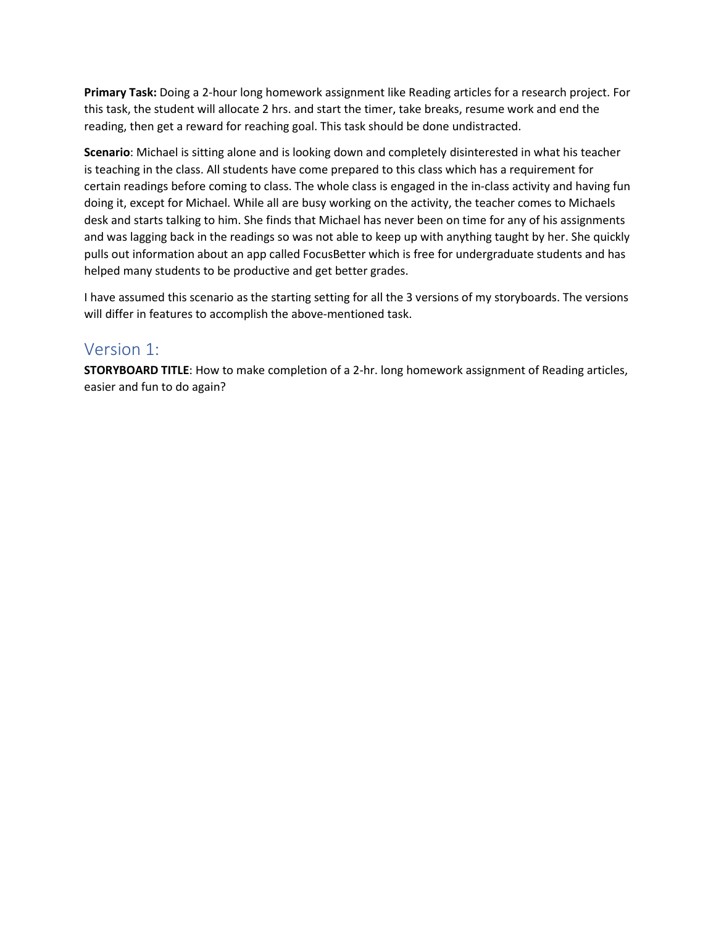**Primary Task:** Doing a 2-hour long homework assignment like Reading articles for a research project. For this task, the student will allocate 2 hrs. and start the timer, take breaks, resume work and end the reading, then get a reward for reaching goal. This task should be done undistracted.

**Scenario**: Michael is sitting alone and is looking down and completely disinterested in what his teacher is teaching in the class. All students have come prepared to this class which has a requirement for certain readings before coming to class. The whole class is engaged in the in-class activity and having fun doing it, except for Michael. While all are busy working on the activity, the teacher comes to Michaels desk and starts talking to him. She finds that Michael has never been on time for any of his assignments and was lagging back in the readings so was not able to keep up with anything taught by her. She quickly pulls out information about an app called FocusBetter which is free for undergraduate students and has helped many students to be productive and get better grades.

I have assumed this scenario as the starting setting for all the 3 versions of my storyboards. The versions will differ in features to accomplish the above-mentioned task.

## Version 1:

**STORYBOARD TITLE**: How to make completion of a 2-hr. long homework assignment of Reading articles, easier and fun to do again?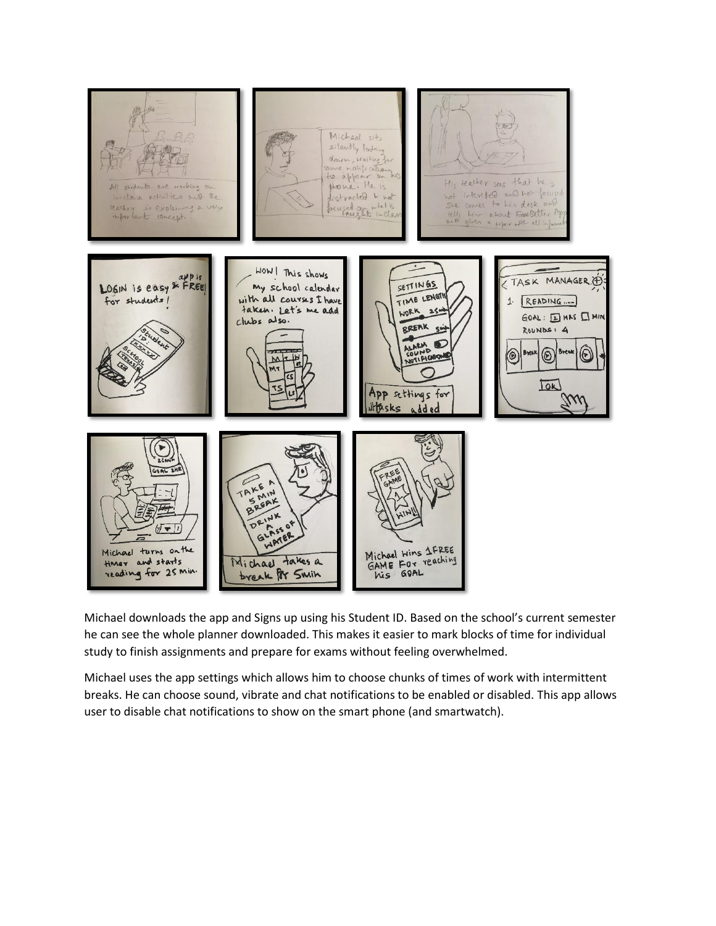

Michael downloads the app and Signs up using his Student ID. Based on the school's current semester he can see the whole planner downloaded. This makes it easier to mark blocks of time for individual study to finish assignments and prepare for exams without feeling overwhelmed.

Michael uses the app settings which allows him to choose chunks of times of work with intermittent breaks. He can choose sound, vibrate and chat notifications to be enabled or disabled. This app allows user to disable chat notifications to show on the smart phone (and smartwatch).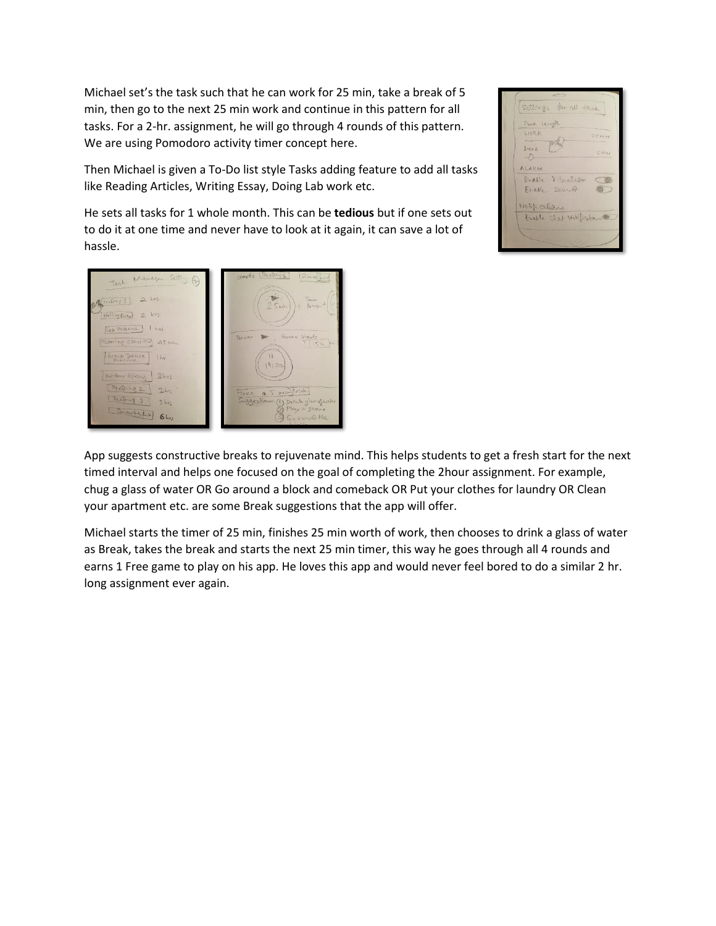Michael set's the task such that he can work for 25 min, take a break of 5 min, then go to the next 25 min work and continue in this pattern for all tasks. For a 2-hr. assignment, he will go through 4 rounds of this pattern. We are using Pomodoro activity timer concept here.

settings for all task Time Langer LIORK **MIN**  $pQ$ Break  $\leq$  M<sub>n</sub> ALARM Enable Vibration  $\subset$ Erable sound 面 Matti cations Eastle Chat Mitfication

Then Michael is given a To-Do list style Tasks adding feature to add all tasks like Reading Articles, Writing Essay, Doing Lab work etc.

He sets all tasks for 1 whole month. This can be **tedious** but if one sets out to do it at one time and never have to look at it again, it can save a lot of hassle.



App suggests constructive breaks to rejuvenate mind. This helps students to get a fresh start for the next timed interval and helps one focused on the goal of completing the 2hour assignment. For example, chug a glass of water OR Go around a block and comeback OR Put your clothes for laundry OR Clean your apartment etc. are some Break suggestions that the app will offer.

Michael starts the timer of 25 min, finishes 25 min worth of work, then chooses to drink a glass of water as Break, takes the break and starts the next 25 min timer, this way he goes through all 4 rounds and earns 1 Free game to play on his app. He loves this app and would never feel bored to do a similar 2 hr. long assignment ever again.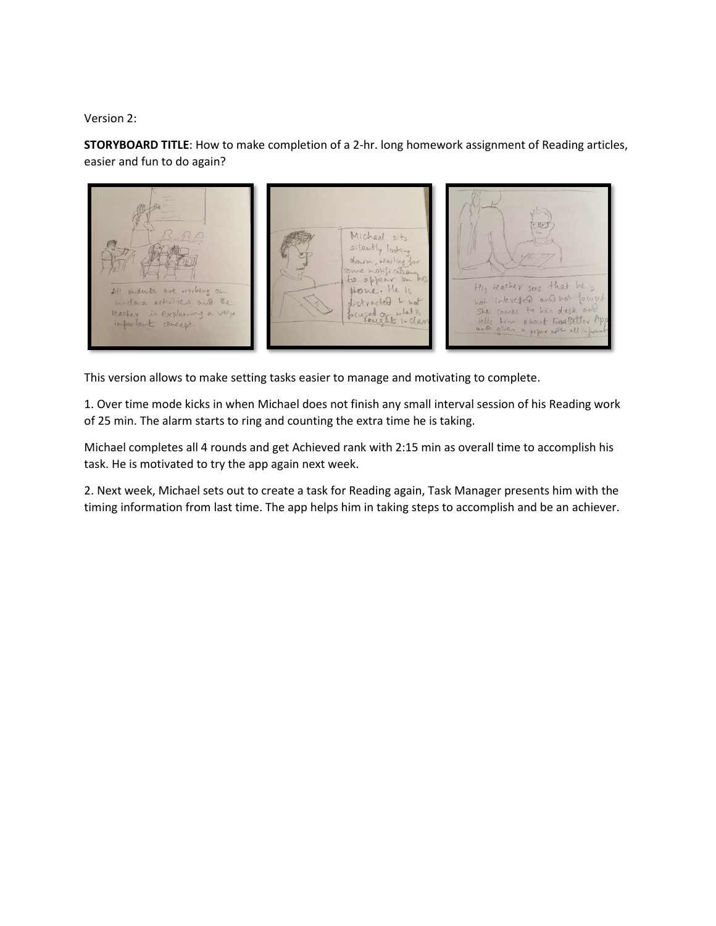Version 2:

**STORYBOARD TITLE**: How to make completion of a 2-hr. long homework assignment of Reading articles, easier and fun to do again?



This version allows to make setting tasks easier to manage and motivating to complete.

1. Over time mode kicks in when Michael does not finish any small interval session of his Reading work of 25 min. The alarm starts to ring and counting the extra time he is taking.

Michael completes all 4 rounds and get Achieved rank with 2:15 min as overall time to accomplish his task. He is motivated to try the app again next week.

2. Next week, Michael sets out to create a task for Reading again, Task Manager presents him with the timing information from last time. The app helps him in taking steps to accomplish and be an achiever.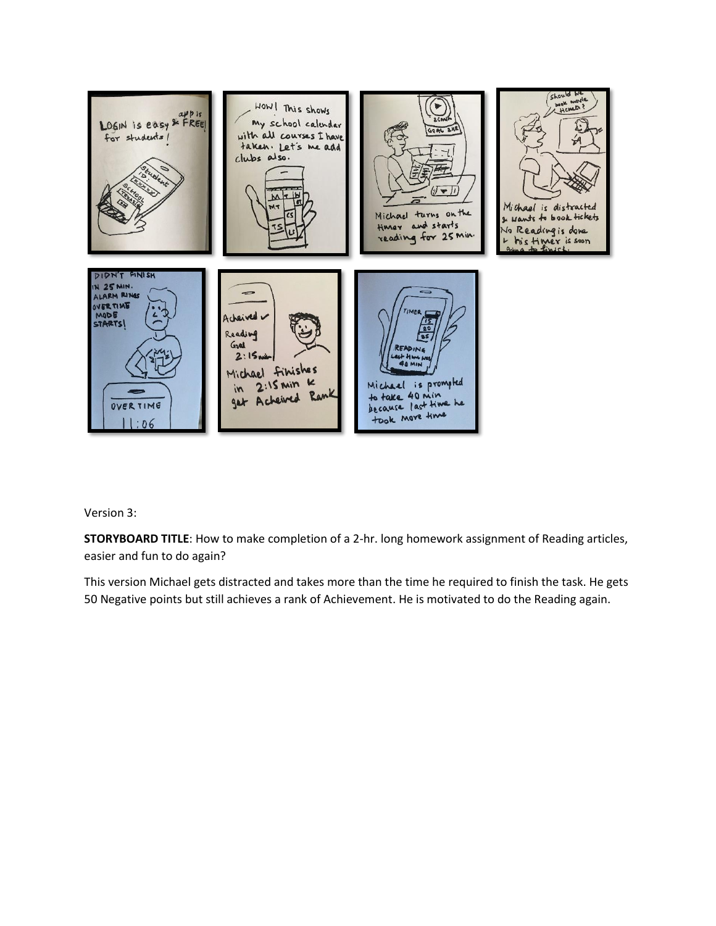

Version 3:

**STORYBOARD TITLE**: How to make completion of a 2-hr. long homework assignment of Reading articles, easier and fun to do again?

This version Michael gets distracted and takes more than the time he required to finish the task. He gets 50 Negative points but still achieves a rank of Achievement. He is motivated to do the Reading again.